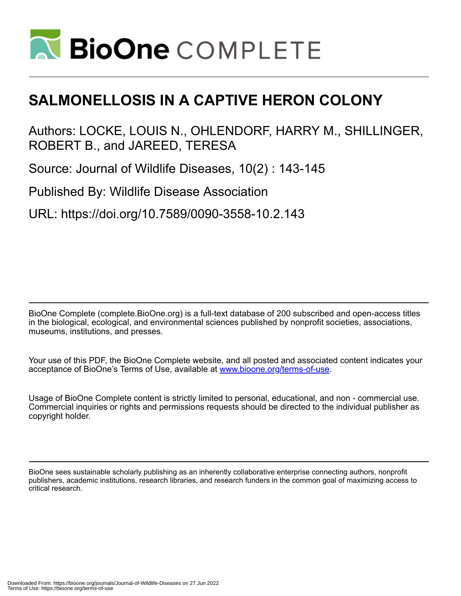

# **SALMONELLOSIS IN A CAPTIVE HERON COLONY**

Authors: LOCKE, LOUIS N., OHLENDORF, HARRY M., SHILLINGER, ROBERT B., and JAREED, TERESA

Source: Journal of Wildlife Diseases, 10(2) : 143-145

Published By: Wildlife Disease Association

URL: https://doi.org/10.7589/0090-3558-10.2.143

BioOne Complete (complete.BioOne.org) is a full-text database of 200 subscribed and open-access titles in the biological, ecological, and environmental sciences published by nonprofit societies, associations, museums, institutions, and presses.

Your use of this PDF, the BioOne Complete website, and all posted and associated content indicates your acceptance of BioOne's Terms of Use, available at www.bioone.org/terms-of-use.

Usage of BioOne Complete content is strictly limited to personal, educational, and non - commercial use. Commercial inquiries or rights and permissions requests should be directed to the individual publisher as copyright holder.

BioOne sees sustainable scholarly publishing as an inherently collaborative enterprise connecting authors, nonprofit publishers, academic institutions, research libraries, and research funders in the common goal of maximizing access to critical research.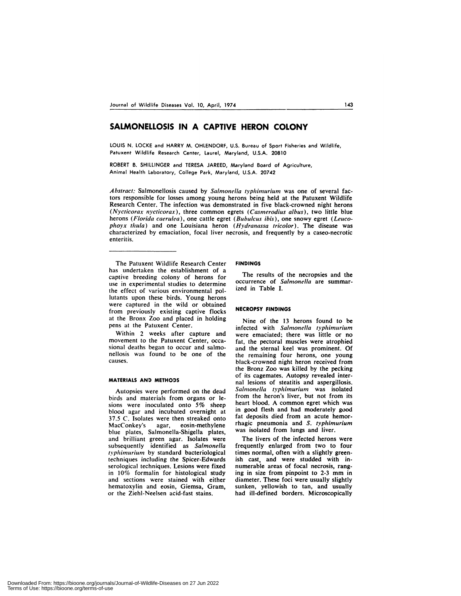# **SALMONELLOSIS IN A CAPTIVE HERON COLONY**

LOUIS N. LOCKE and HARRY M. OHLENDORF, U.S. Bureau of Sport Fisheries and Wildlife, Patuxent Wildlife Research Center, Laurel, Maryland, U.S.A. 20810

ROBERT B. SHILLINGER and TERESA JAREED, Maryland Board of Agriculture, Animal Health Laboratory, College Park, Maryland, U.S.A. 20742

*Abstract:* Salmonellosis caused by *Salmonella typ/limurium* was one of several factors responsible for losses among young herons being held at the Patuxent Wildlife Research Center. The infection was demonstrated in five black-crowned night herons *(Nycticorax nycticorax),* three common egrets *(Casinerodius a/bus),* two little blue herons *(Florida caerulea),* one cattle egret *(Bubulcus ibis),* one snowy egret *(Leucophoyx thu/a)* and one Louisiana heron *(Hydranassa tricolor).* The disease was characterized by emaciation, focal liver necrosis, and frequently by a caseo-necrotic enteritis.

The Patuxent Wildlife Research Center has undertaken the establishment of a captive breeding colony of herons for use in experimental studies to determine the effect of various environmental pollutants upon these birds. Young herons were captured in the wild or obtained from previously existing captive flocks at the Bronx Zoo and placed in holding pens at the Patuxent Center.

Within 2 weeks after capture and movement to the Patuxent Center, occa sional deaths began to occur and salmonellosis was found to be one of the causes.

### **MATERIALS AND METHODS**

Autopsies were performed on the dead birds and materials from organs or lesions were inoculated onto 5% sheep blood agar and incubated overnight at 37.5 C. Isolates were then streaked onto MacConkey's agar, eosin-methylene blue plates, Salmonella-Shigella plates, and brilliant green agar. Isolates were subsequently identified as *Salmonella typhimurium* by standard bacteriological techniques including the Spicer-Edwards serological techniques. Lesions were fixed in 10% formalin for histological study and sections were stained with either hematoxylin and eosin, Giemsa, Gram, or the Ziehl-Neelsen acid-fast stains.

## **FINDINGS**

The results of the necropsies and the occurrence of *Salmonella* are summarized in Table I.

#### **NECROPSY FINDINGS**

Nine of the 13 herons found to be infected with *Salmonella typhimurium* were emaciated; there was little or no fat, the pectoral muscles were atrophied and the sternal keel was prominent. Of the remaining four herons, one young black-crowned night heron received from the Bronz Zoo was killed by the pecking of its cagemates. Autopsy revealed internal lesions of steatitis and aspergillosis. *Salmonella typhimurium* was isolated from the heron's liver, but not from its heart blood. A common egret which was in good flesh and had moderately good fat deposits died from an acute hemorrhagic pneumonia and S. *typhimurium* was isolated from lungs and liver.

The livers of the infected herons were frequently enlarged from two to four times normal, often with a slightly greenish cast, and were studded with innumerable areas of focal necrosis, ranging in size from pinpoint to 2-3 mm in diameter. These foci were usually slightly sunken, yellowish to tan, and usually had ill-defined borders. Microscopically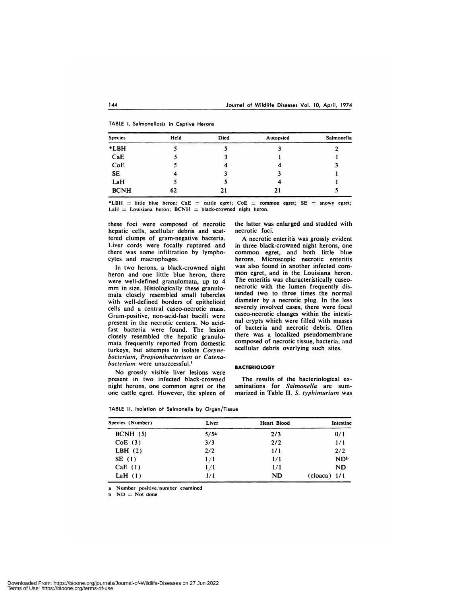|  | TABLE I. Salmonellosis in Captive Herons |  |  |
|--|------------------------------------------|--|--|
|  |                                          |  |  |

| Species     | Held | <b>Died</b> | Autopsied | Salmonella |
|-------------|------|-------------|-----------|------------|
| *LBH        |      |             |           |            |
| CaE         |      |             |           |            |
| CoE         |      |             | 4         |            |
| <b>SE</b>   |      |             |           |            |
| LaH         |      |             |           |            |
| <b>BCNH</b> | 62   | 21          | 21        |            |

\*LBH  $=$  little blue heron; CaE  $=$  cattle egret; CoE  $=$  common egret; SE  $=$  snowy egret; LaH  $=$  Louisiana heron; BCNH  $=$  black-crowned night heron.

these foci were composed of necrotic hepatic cells, acellular debris and scattered clumps of gram-negative bacteria. Liver cords were focally ruptured and there was some infiltration by lymphocytes and macrophages.

In two herons, a black-crowned night heron and one little blue heron, there were well-defined granulomata, up to 4 mm in size. Histologically these granulo mata closely resembled small tubercies with well-defined borders of epithelioid cells and a central caseo-necrotic mass. Gram-positive, non-acid-fast bacilli were present in the necrotic centers. No acidfast bacteria were found. The lesion closely resembled the hepatic granulo mata frequently reported from domestic turkeys, but attempts to isolate *Corynebacterium, Propionibacterium* or *Catena* bacterium were unsuccessful.<sup>1</sup>

No grossly visible liver lesions were present in two infected black-crowned night herons, one common egret or the one cattle egret. However, the spleen of the latter was enlarged and studded with necrotic foci.

A necrotic enteritis was grossly evident in three black-crowned night herons, one common egret, and both little blue herons. Microscopic necrotic enteritis was also found in another infected com mon egret, and in the Louisiana heron. The enteritis was characteristically caseo necrotic with the lumen frequently distended two to three times the normal diameter by a necrotic plug. In the less severely involved cases, there were focal caseo-necrotic changes within the intestinal crypts which were filled with masses of bacteria and necrotic debris. Often there was a localized pseudomembrane composed of necrotic tissue, bacteria, and acellular debris overlying such sites.

#### **BACTERIOLOGY**

The results of the bacteriological ex aminations for *Salmonella* are sum marized in Table **II. S.** *typhimnurium* was

| Species (Number) | Liver | Heart Blood | Intestine       |
|------------------|-------|-------------|-----------------|
| BCNH(5)          | 5/5a  | 2/3         | 0/1             |
| CoE(3)           | 3/3   | 2/2         | 1/1             |
| LBH $(2)$        | 2/2   | 1/1         | 2/2             |
| SE (1)           | 1/1   | 1/1         | ND <sub>b</sub> |
| CaE(1)           | 1/1   | 1/1         | ND.             |
| LaH $(1)$        | 1/1   | <b>ND</b>   | $(cloaca)$ 1/1  |

**TABLE II. Isolation of Salmonella by Organ/Tissue**

a Number positive/number examined

 $ND = Not done$